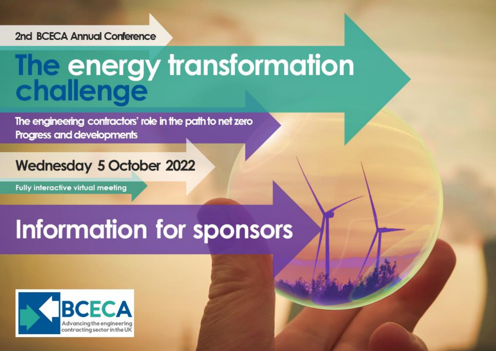#### 2nd BCECA Annual Conference

# The energy transformation

The engineering contractors' role in the path to net zero Progress and developments

## **Wednesday 5 October 2022**

**Fully interactive virtual meeting** 

## Information for sponsors

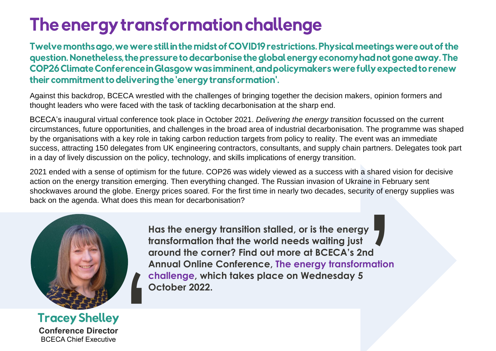## The energy transformation challenge

Twelve months ago, we were still in the midst of COVID19 restrictions. Physical meetings were out of the question. Nonetheless, the pressure to decarbonise the global energy economy had not gone away. The COP26 Climate Conference in Glasgow was imminent, and policy makers were fully expected to renew their commitment to delivering the 'energy transformation'.

Against this backdrop, BCECA wrestled with the challenges of bringing together the decision makers, opinion formers and thought leaders who were faced with the task of tackling decarbonisation at the sharp end.

BCECA's inaugural virtual conference took place in October 2021. *Delivering the energy transition* focussed on the current circumstances, future opportunities, and challenges in the broad area of industrial decarbonisation. The programme was shaped by the organisations with a key role in taking carbon reduction targets from policy to reality. The event was an immediate success, attracting 150 delegates from UK engineering contractors, consultants, and supply chain partners. Delegates took part in a day of lively discussion on the policy, technology, and skills implications of energy transition.

2021 ended with a sense of optimism for the future. COP26 was widely viewed as a success with a shared vision for decisive action on the energy transition emerging. Then everything changed. The Russian invasion of Ukraine in February sent shockwaves around the globe. Energy prices soared. For the first time in nearly two decades, security of energy supplies was back on the agenda. What does this mean for decarbonisation? Franced vision for decist<br>
in February sent<br>
of energy supplies<br>
of the supplies<br>
of the supplies<br>
of the supplies<br>
of the supplies<br>
of the supplies<br>
of the supplies<br>
of the supplies<br>
of the supplies<br>
of the supplies<br>
of t



**Has the energy transition stalled, or is the energy transformation that the world needs waiting just around the corner? Find out more at [BCECA's 2nd](https://www.bceca.org.uk/wp-content/uploads/2022/03/2022-Conference-Announcement-21-03-22.pdf)  [Annual Online Conference,](https://www.bceca.org.uk/wp-content/uploads/2022/03/2022-Conference-Announcement-21-03-22.pdf) The energy transformation [challenge,](https://www.bceca.org.uk/wp-content/uploads/2022/03/2022-Conference-Announcement-21-03-22.pdf) which takes place on Wednesday 5 October 2022.**

**Conference Director** BCECA Chief Executive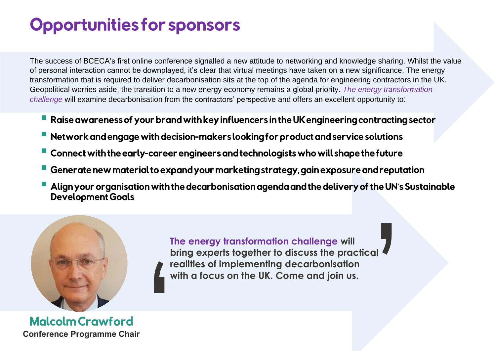## **Opportunities for sponsors**

The success of BCECA's first online conference signalled a new attitude to networking and knowledge sharing. Whilst the value of personal interaction cannot be downplayed, it's clear that virtual meetings have taken on a new significance. The energy transformation that is required to deliver decarbonisation sits at the top of the agenda for engineering contractors in the UK. Geopolitical worries aside, the transition to a new energy economy remains a global priority. *The energy transformation challenge* will examine decarbonisation from the contractors' perspective and offers an excellent opportunity to:

- Raise awareness of your brand with key influencers in the UK engineering contracting sector
- Network and engage with decision-makers looking for product and service solutions
- Connect with the early-career engineers and technologists who will shape the future
- Generate new material to expand your marketing strategy, gain exposure and reputation
- Align your organisation with the decarbonisation agenda and the delivery of the UN's Sustainable<br>Development Goals



**The energy transformation challenge will bring experts together to discuss the practical realities of implementing decarbonisation with a focus on the UK. Come and join us.** br<br>
re<br>
wi<br>
r<br>
r **|**<br>|<br>|<br>|

**Malcolm Crawford Conference Programme Chair**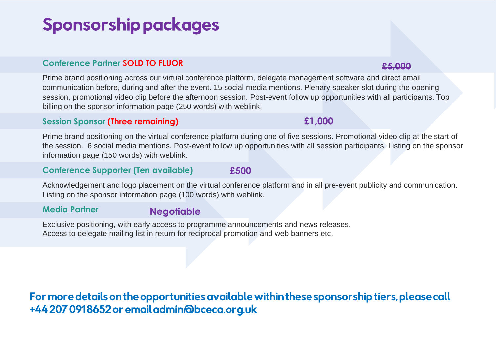## **Sponsorship packages**

#### **Conference Partner SOLD TO FLUOR**

Prime brand positioning across our virtual conference platform, delegate management software and direct email communication before, during and after the event. 15 social media mentions. Plenary speaker slot during the opening session, promotional video clip before the afternoon session. Post-event follow up opportunities with all participants. Top billing on the sponsor information page (250 words) with weblink.

#### **Session Sponsor (Three remaining)**

Prime brand positioning on the virtual conference platform during one of five sessions. Promotional video clip at the start of the session. 6 social media mentions. Post-event follow up opportunities with all session participants. Listing on the sponsor information page (150 words) with weblink.

#### **Conference Supporter (Ten available)**

Acknowledgement and logo placement on the virtual conference platform and in all pre-event publicity and communication. Listing on the sponsor information page (100 words) with weblink.

#### **Media Partner**

#### **Negotiable**

Exclusive positioning, with early access to programme announcements and news releases. Access to delegate mailing list in return for reciprocal promotion and web banners etc.

### For more details on the opportunities available within these sponsorship tiers, please call +44 207 0918652 or email admin@bceca.org.uk

#### **£5,000**

#### **£500**

**£1,000**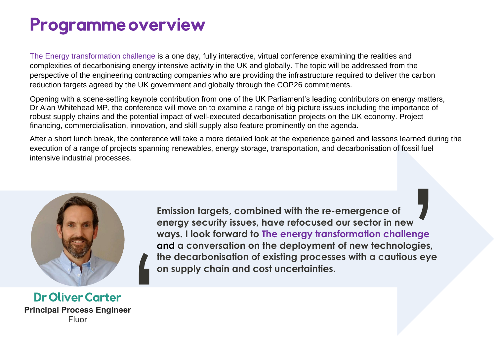## **Programme overview**

The Energy transformation challenge is a one day, fully interactive, virtual conference examining the realities and complexities of decarbonising energy intensive activity in the UK and globally. The topic will be addressed from the perspective of the engineering contracting companies who are providing the infrastructure required to deliver the carbon reduction targets agreed by the UK government and globally through the COP26 commitments.

Opening with a scene-setting keynote contribution from one of the UK Parliament's leading contributors on energy matters, Dr Alan Whitehead MP, the conference will move on to examine a range of big picture issues including the importance of robust supply chains and the potential impact of well-executed decarbonisation projects on the UK economy. Project financing, commercialisation, innovation, and skill supply also feature prominently on the agenda.

After a short lunch break, the conference will take a more detailed look at the experience gained and lessons learned during the execution of a range of projects spanning renewables, energy storage, transportation, and decarbonisation of fossil fuel intensive industrial processes.



**Emission targets, combined with the re-emergence of energy security issues, have refocused our sector in new ways. I look forward to The energy transformation challenge and a conversation on the deployment of new technologies, the decarbonisation of existing processes with a cautious eye**  and a conversation on the deployment<br>the decarbonisation of existing process<br>on supply chain and cost uncertainties.<br>Per NEW<br>|<br>| lenge<br>| logies,<br>| pus eye

**Dr Oliver Carter Principal Process Engineer** Fluor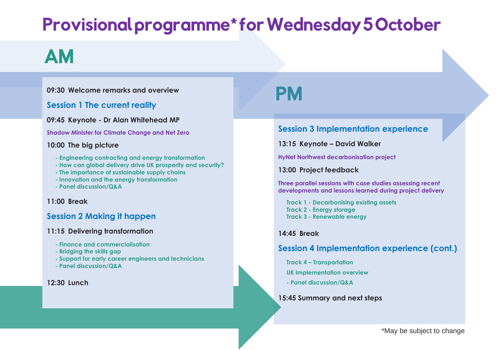## **Provisional programme\*for Wednesday 5 October**

## **AM**

#### **09:30 Welcome remarks and overview**

#### **Session 1 The current reality**

#### **09:45 Keynote - Dr Alan Whitehead MP**

**Shadow Minister for Climate Change and Net Zero**

#### **10:00 The big picture**

- **- Engineering contracting and energy transformation**
- **- How can global delivery drive UK prosperity and security?**
- **- The importance of sustainable supply chains**
- **- Innovation and the energy transformation**
- **- Panel discussion/Q&A**

#### **11:00 Break**

#### **Session 2 Making it happen**

#### **11:15 Delivering transformation**

- **- Finance and commercialisation**
- **- Bridging the skills gap**
- **- Support for early career engineers and technicians**
- **- Panel discussion/Q&A**

#### **12:30 Lunch**

## PM

#### **Session 3 Implementation experience**

**13:15 Keynote – David Walker**

**HyNet Northwest decarbonisation project**

#### **13:00 Project feedback**

**Three parallel sessions with case studies assessing recent developments and lessons learned during project delivery**

**Track 1 - Decarbonising existing assets Track 2 - Energy storage Track 3 - Renewable energy**

#### **14:45 Break**

#### **Session 4 Implementation experience (cont.)**

**Track 4 – Transportation**

**UK Implementation overview**

**- Panel discussion/Q&A**

#### **15:45 Summary and next steps**

\*May be subject to change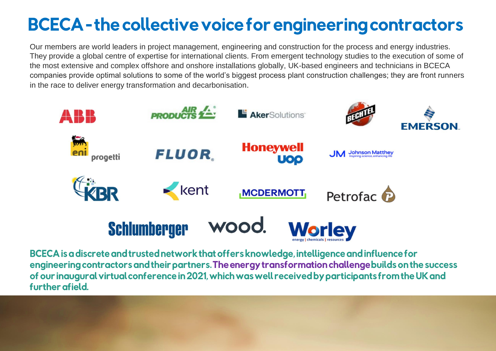## **BCECA-the collective voice for engineering contractors**

Our members are world leaders in project management, engineering and construction for the process and energy industries. They provide a global centre of expertise for international clients. From emergent technology studies to the execution of some of the most extensive and complex offshore and onshore installations globally, UK-based engineers and technicians in BCECA companies provide optimal solutions to some of the world's biggest process plant construction challenges; they are front runners in the race to deliver energy transformation and decarbonisation.



BCECA is a discrete and trusted network that offers knowledge, intelligence and influence for engineering contractors and their partners. The energy transformation challenge builds on the success of our inaugural virtual conference in 2021, which was well received by participants from the UK and further afield.